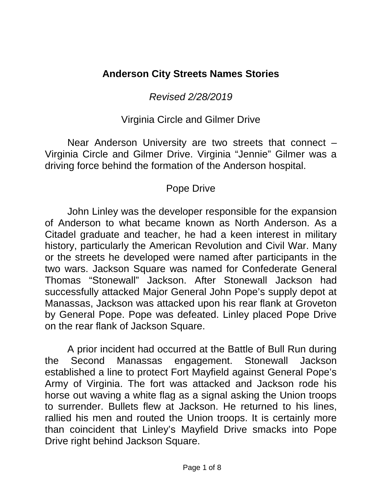# **Anderson City Streets Names Stories**

*Revised 2/28/2019*

## Virginia Circle and Gilmer Drive

Near Anderson University are two streets that connect – Virginia Circle and Gilmer Drive. Virginia "Jennie" Gilmer was a driving force behind the formation of the Anderson hospital.

# Pope Drive

John Linley was the developer responsible for the expansion of Anderson to what became known as North Anderson. As a Citadel graduate and teacher, he had a keen interest in military history, particularly the American Revolution and Civil War. Many or the streets he developed were named after participants in the two wars. Jackson Square was named for Confederate General Thomas "Stonewall" Jackson. After Stonewall Jackson had successfully attacked Major General John Pope's supply depot at Manassas, Jackson was attacked upon his rear flank at Groveton by General Pope. Pope was defeated. Linley placed Pope Drive on the rear flank of Jackson Square.

A prior incident had occurred at the Battle of Bull Run during the Second Manassas engagement. Stonewall Jackson established a line to protect Fort Mayfield against General Pope's Army of Virginia. The fort was attacked and Jackson rode his horse out waving a white flag as a signal asking the Union troops to surrender. Bullets flew at Jackson. He returned to his lines, rallied his men and routed the Union troops. It is certainly more than coincident that Linley's Mayfield Drive smacks into Pope Drive right behind Jackson Square.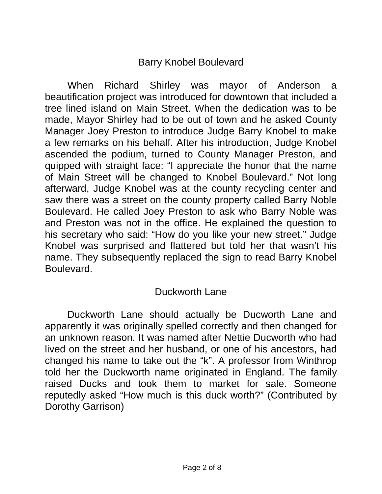### Barry Knobel Boulevard

When Richard Shirley was mayor of Anderson a beautification project was introduced for downtown that included a tree lined island on Main Street. When the dedication was to be made, Mayor Shirley had to be out of town and he asked County Manager Joey Preston to introduce Judge Barry Knobel to make a few remarks on his behalf. After his introduction, Judge Knobel ascended the podium, turned to County Manager Preston, and quipped with straight face: "I appreciate the honor that the name of Main Street will be changed to Knobel Boulevard." Not long afterward, Judge Knobel was at the county recycling center and saw there was a street on the county property called Barry Noble Boulevard. He called Joey Preston to ask who Barry Noble was and Preston was not in the office. He explained the question to his secretary who said: "How do you like your new street." Judge Knobel was surprised and flattered but told her that wasn't his name. They subsequently replaced the sign to read Barry Knobel Boulevard.

### Duckworth Lane

Duckworth Lane should actually be Ducworth Lane and apparently it was originally spelled correctly and then changed for an unknown reason. It was named after Nettie Ducworth who had lived on the street and her husband, or one of his ancestors, had changed his name to take out the "k". A professor from Winthrop told her the Duckworth name originated in England. The family raised Ducks and took them to market for sale. Someone reputedly asked "How much is this duck worth?" (Contributed by Dorothy Garrison)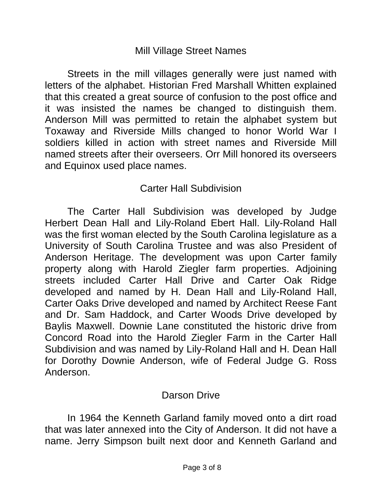#### Mill Village Street Names

Streets in the mill villages generally were just named with letters of the alphabet. Historian Fred Marshall Whitten explained that this created a great source of confusion to the post office and it was insisted the names be changed to distinguish them. Anderson Mill was permitted to retain the alphabet system but Toxaway and Riverside Mills changed to honor World War I soldiers killed in action with street names and Riverside Mill named streets after their overseers. Orr Mill honored its overseers and Equinox used place names.

## Carter Hall Subdivision

The Carter Hall Subdivision was developed by Judge Herbert Dean Hall and Lily-Roland Ebert Hall. Lily-Roland Hall was the first woman elected by the South Carolina legislature as a University of South Carolina Trustee and was also President of Anderson Heritage. The development was upon Carter family property along with Harold Ziegler farm properties. Adjoining streets included Carter Hall Drive and Carter Oak Ridge developed and named by H. Dean Hall and Lily-Roland Hall, Carter Oaks Drive developed and named by Architect Reese Fant and Dr. Sam Haddock, and Carter Woods Drive developed by Baylis Maxwell. Downie Lane constituted the historic drive from Concord Road into the Harold Ziegler Farm in the Carter Hall Subdivision and was named by Lily-Roland Hall and H. Dean Hall for Dorothy Downie Anderson, wife of Federal Judge G. Ross Anderson.

### Darson Drive

In 1964 the Kenneth Garland family moved onto a dirt road that was later annexed into the City of Anderson. It did not have a name. Jerry Simpson built next door and Kenneth Garland and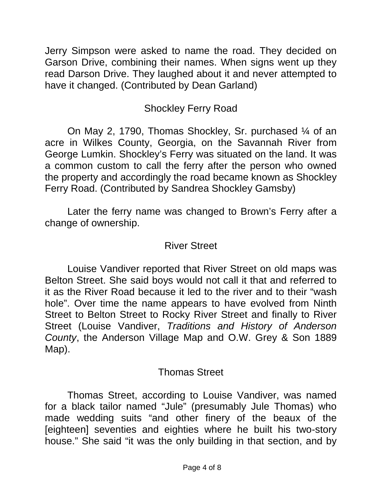Jerry Simpson were asked to name the road. They decided on Garson Drive, combining their names. When signs went up they read Darson Drive. They laughed about it and never attempted to have it changed. (Contributed by Dean Garland)

# Shockley Ferry Road

On May 2, 1790, Thomas Shockley, Sr. purchased ¼ of an acre in Wilkes County, Georgia, on the Savannah River from George Lumkin. Shockley's Ferry was situated on the land. It was a common custom to call the ferry after the person who owned the property and accordingly the road became known as Shockley Ferry Road. (Contributed by Sandrea Shockley Gamsby)

Later the ferry name was changed to Brown's Ferry after a change of ownership.

### River Street

Louise Vandiver reported that River Street on old maps was Belton Street. She said boys would not call it that and referred to it as the River Road because it led to the river and to their "wash hole". Over time the name appears to have evolved from Ninth Street to Belton Street to Rocky River Street and finally to River Street (Louise Vandiver, *Traditions and History of Anderson County*, the Anderson Village Map and O.W. Grey & Son 1889 Map).

### Thomas Street

Thomas Street, according to Louise Vandiver, was named for a black tailor named "Jule" (presumably Jule Thomas) who made wedding suits "and other finery of the beaux of the [eighteen] seventies and eighties where he built his two-story house." She said "it was the only building in that section, and by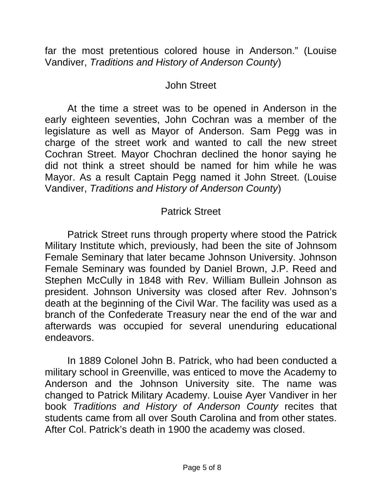far the most pretentious colored house in Anderson." (Louise Vandiver, *Traditions and History of Anderson County*)

### John Street

At the time a street was to be opened in Anderson in the early eighteen seventies, John Cochran was a member of the legislature as well as Mayor of Anderson. Sam Pegg was in charge of the street work and wanted to call the new street Cochran Street. Mayor Chochran declined the honor saying he did not think a street should be named for him while he was Mayor. As a result Captain Pegg named it John Street. (Louise Vandiver, *Traditions and History of Anderson County*)

## Patrick Street

Patrick Street runs through property where stood the Patrick Military Institute which, previously, had been the site of Johnsom Female Seminary that later became Johnson University. Johnson Female Seminary was founded by Daniel Brown, J.P. Reed and Stephen McCully in 1848 with Rev. William Bullein Johnson as president. Johnson University was closed after Rev. Johnson's death at the beginning of the Civil War. The facility was used as a branch of the Confederate Treasury near the end of the war and afterwards was occupied for several unenduring educational endeavors.

In 1889 Colonel John B. Patrick, who had been conducted a military school in Greenville, was enticed to move the Academy to Anderson and the Johnson University site. The name was changed to Patrick Military Academy. Louise Ayer Vandiver in her book *Traditions and History of Anderson County* recites that students came from all over South Carolina and from other states. After Col. Patrick's death in 1900 the academy was closed.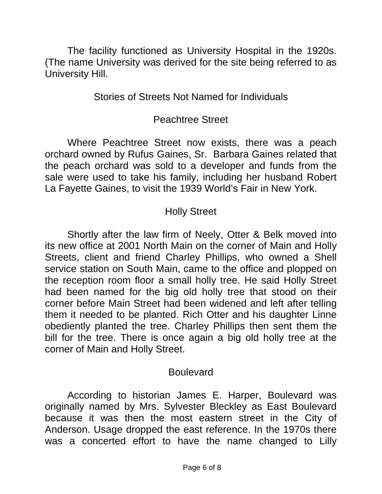The facility functioned as University Hospital in the 1920s. (The name University was derived for the site being referred to as University Hill.

### Stories of Streets Not Named for Individuals

#### Peachtree Street

Where Peachtree Street now exists, there was a peach orchard owned by Rufus Gaines, Sr. Barbara Gaines related that the peach orchard was sold to a developer and funds from the sale were used to take his family, including her husband Robert La Fayette Gaines, to visit the 1939 World's Fair in New York.

## Holly Street

Shortly after the law firm of Neely, Otter & Belk moved into its new office at 2001 North Main on the corner of Main and Holly Streets, client and friend Charley Phillips, who owned a Shell service station on South Main, came to the office and plopped on the reception room floor a small holly tree. He said Holly Street had been named for the big old holly tree that stood on their corner before Main Street had been widened and left after telling them it needed to be planted. Rich Otter and his daughter Linne obediently planted the tree. Charley Phillips then sent them the bill for the tree. There is once again a big old holly tree at the corner of Main and Holly Street.

#### Boulevard

According to historian James E. Harper, Boulevard was originally named by Mrs. Sylvester Bleckley as East Boulevard because it was then the most eastern street in the City of Anderson. Usage dropped the east reference. In the 1970s there was a concerted effort to have the name changed to Lilly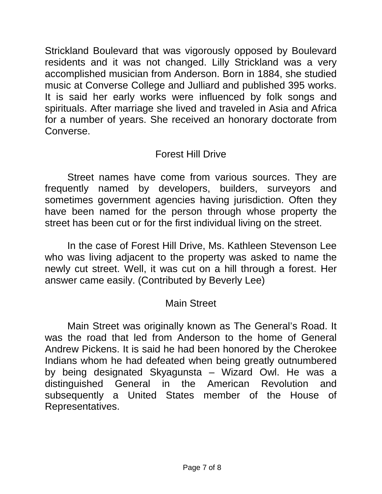Strickland Boulevard that was vigorously opposed by Boulevard residents and it was not changed. Lilly Strickland was a very accomplished musician from Anderson. Born in 1884, she studied music at Converse College and Julliard and published 395 works. It is said her early works were influenced by folk songs and spirituals. After marriage she lived and traveled in Asia and Africa for a number of years. She received an honorary doctorate from Converse.

## Forest Hill Drive

Street names have come from various sources. They are frequently named by developers, builders, surveyors and sometimes government agencies having jurisdiction. Often they have been named for the person through whose property the street has been cut or for the first individual living on the street.

In the case of Forest Hill Drive, Ms. Kathleen Stevenson Lee who was living adjacent to the property was asked to name the newly cut street. Well, it was cut on a hill through a forest. Her answer came easily. (Contributed by Beverly Lee)

# Main Street

Main Street was originally known as The General's Road. It was the road that led from Anderson to the home of General Andrew Pickens. It is said he had been honored by the Cherokee Indians whom he had defeated when being greatly outnumbered by being designated Skyagunsta – Wizard Owl. He was a distinguished General in the American Revolution and subsequently a United States member of the House of Representatives.